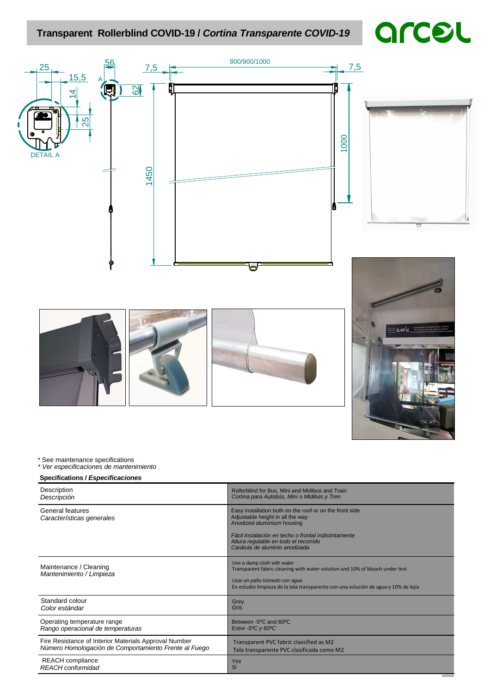# **Transparent Rollerblind COVID-19 / Cortina Transparente COVID-19**

# arcel



#### \* See maintenance specifications

\* Ver especificaciones de mantenimiento

#### **Specifications / Especificaciones**

| Description                                           | Rollerblind for Bus, Mini and Midibus and Train                                                                                                                                                                                                              |
|-------------------------------------------------------|--------------------------------------------------------------------------------------------------------------------------------------------------------------------------------------------------------------------------------------------------------------|
| Descripción                                           | Cortina para Autobús, Mini o Midibús y Tren                                                                                                                                                                                                                  |
| <b>General features</b><br>Características generales  | Easy installation both on the roof or on the front side<br>Adjustable height in all the way<br>Anodized aluminium housing<br>Fácil instalación en techo o frontal indistintamente<br>Altura regulable en todo el recorrido<br>Carátula de aluminio anodizada |
| Maintenance / Cleaning<br>Mantenimiento / Limpieza    | Use a damp cloth with water<br>Transparent fabric cleaning with water solution and 10% of bleach under test<br>Usar un paño húmedo con aqua<br>En estudio limpieza de la tela transparente con una solución de agua y 10% de lejía                           |
| Standard colour                                       | Grey                                                                                                                                                                                                                                                         |
| Color estándar                                        | Gris                                                                                                                                                                                                                                                         |
| Operating temperature range                           | Between -5 <sup>o</sup> C and 60 <sup>o</sup> C                                                                                                                                                                                                              |
| Rango operacional de temperaturas                     | Entre -5 $\degree$ C y 60 $\degree$ C                                                                                                                                                                                                                        |
| Fire Resistance of Interior Materials Approval Number | Transparent PVC fabric classified as M2                                                                                                                                                                                                                      |
| Número Homologación de Comportamiento Frente al Fuego | Tela transparente PVC clasificada como M2                                                                                                                                                                                                                    |
| <b>REACH</b> compliance<br><b>REACH</b> conformidad   | Yes<br>Si<br>04/2020                                                                                                                                                                                                                                         |